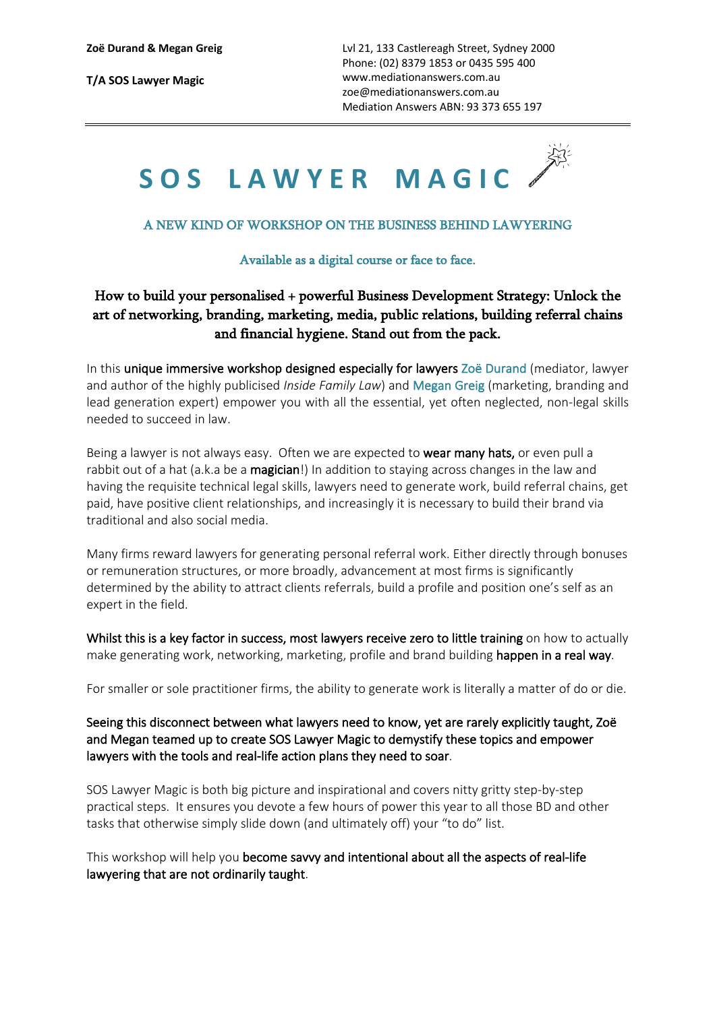**T/A SOS Lawyer Magic**

Lvl 21, 133 Castlereagh Street, Sydney 2000 Phone: (02) 8379 1853 or 0435 595 400 www.mediationanswers.com.au zoe@mediationanswers.com.au Mediation Answers ABN: 93 373 655 197

# SOS LAWYER MAGIC

#### A NEW KIND OF WORKSHOP ON THE BUSINESS BEHIND LAWYERING

#### Available as a digital course or face to face.

# How to build your personalised + powerful Business Development Strategy: Unlock the art of networking, branding, marketing, media, public relations, building referral chains and financial hygiene. Stand out from the pack.

In this unique immersive workshop designed especially for lawyers Zoë Durand (mediator, lawyer and author of the highly publicised *Inside Family Law*) and Megan Greig (marketing, branding and lead generation expert) empower you with all the essential, yet often neglected, non-legal skills needed to succeed in law.

Being a lawyer is not always easy. Often we are expected to wear many hats, or even pull a rabbit out of a hat (a.k.a be a magician!) In addition to staying across changes in the law and having the requisite technical legal skills, lawyers need to generate work, build referral chains, get paid, have positive client relationships, and increasingly it is necessary to build their brand via traditional and also social media.

Many firms reward lawyers for generating personal referral work. Either directly through bonuses or remuneration structures, or more broadly, advancement at most firms is significantly determined by the ability to attract clients referrals, build a profile and position one's self as an expert in the field.

Whilst this is a key factor in success, most lawyers receive zero to little training on how to actually make generating work, networking, marketing, profile and brand building happen in a real way.

For smaller or sole practitioner firms, the ability to generate work is literally a matter of do or die.

Seeing this disconnect between what lawyers need to know, yet are rarely explicitly taught, Zoë and Megan teamed up to create SOS Lawyer Magic to demystify these topics and empower lawyers with the tools and real-life action plans they need to soar.

SOS Lawyer Magic is both big picture and inspirational and covers nitty gritty step-by-step practical steps. It ensures you devote a few hours of power this year to all those BD and other tasks that otherwise simply slide down (and ultimately off) your "to do" list.

This workshop will help you become savvy and intentional about all the aspects of real-life lawyering that are not ordinarily taught.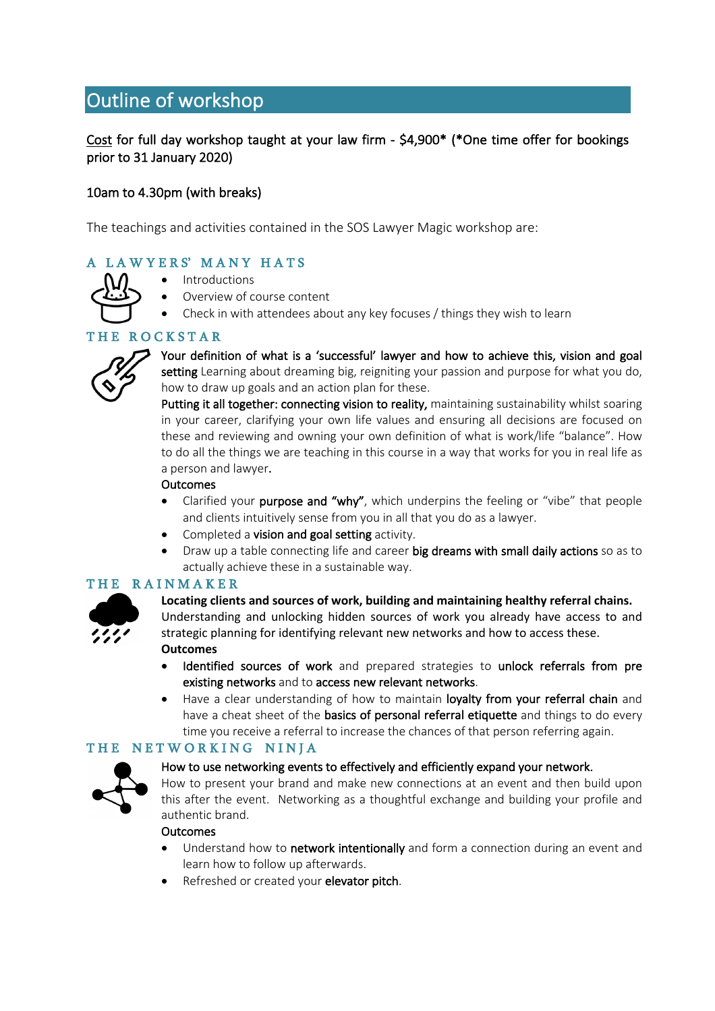# Outline of workshop

### Cost for full day workshop taught at your law firm - \$4,900\* (\*One time offer for bookings prior to 31 January 2020)

#### 10am to 4.30pm (with breaks)

The teachings and activities contained in the SOS Lawyer Magic workshop are:

## A LAWYERS' MANY HATS

- Introductions
- Overview of course content
	- Check in with attendees about any key focuses / things they wish to learn

#### THE ROCKSTAR



Your definition of what is a 'successful' lawyer and how to achieve this, vision and goal setting Learning about dreaming big, reigniting your passion and purpose for what you do, how to draw up goals and an action plan for these.

Putting it all together: connecting vision to reality, maintaining sustainability whilst soaring in your career, clarifying your own life values and ensuring all decisions are focused on these and reviewing and owning your own definition of what is work/life "balance". How to do all the things we are teaching in this course in a way that works for you in real life as a person and lawyer.

#### **Outcomes**

- Clarified your purpose and "why", which underpins the feeling or "vibe" that people and clients intuitively sense from you in all that you do as a lawyer.
- Completed a vision and goal setting activity.
- Draw up a table connecting life and career big dreams withsmall daily actions so as to actually achieve these in a sustainable way.

#### THE RAINMAKER



**Locating clients and sources of work, building and maintaining healthy referral chains.** Understanding and unlocking hidden sources of work you already have access to and strategic planning for identifying relevant new networks and how to access these. **Outcomes**

- Identified sources of work and prepared strategies to unlock referrals from pre existing networks and to access new relevant networks.
- Have a clear understanding of how to maintain loyalty from your referral chain and have a cheat sheet of the basics of personal referral etiquette and things to do every time you receive a referral to increase the chances of that person referring again.

#### THE NETWORKING NINJA



#### How to use networking events to effectively and efficiently expand your network.

How to present your brand and make new connections at an event and then build upon this after the event. Networking as a thoughtful exchange and building your profile and authentic brand.

#### **Outcomes**

- Understand how to network intentionally and form a connection during an event and learn how to follow up afterwards.
- Refreshed or created your elevator pitch.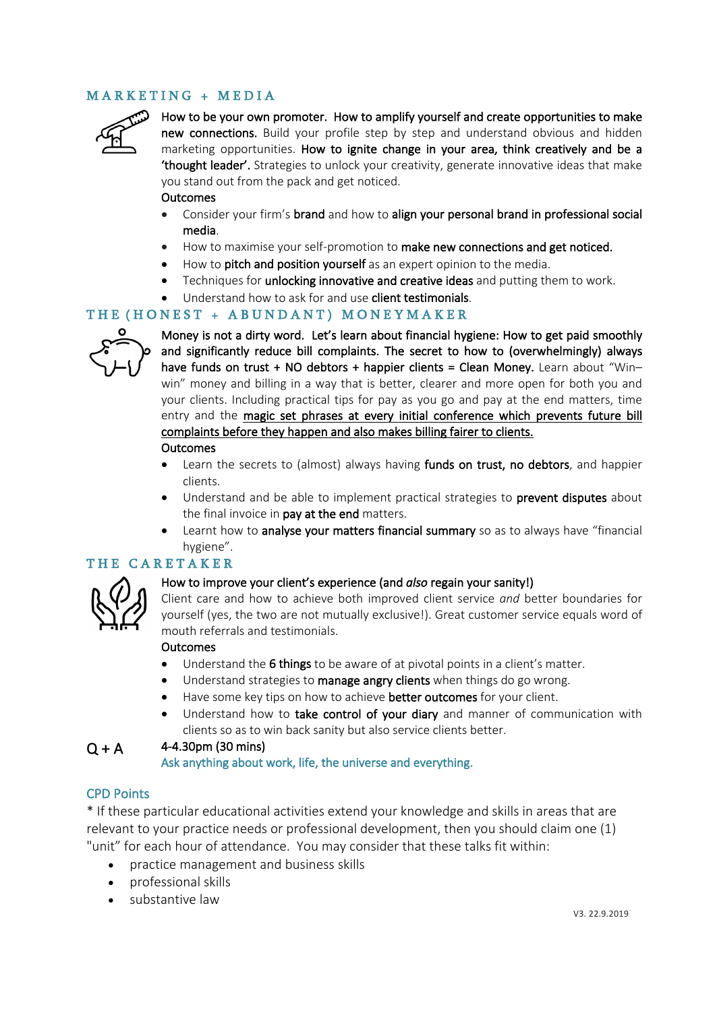#### $MARKETING + MEDIA$



How to be your own promoter. How to amplify yourself and create opportunities to make new connections. Build your profile step by step and understand obvious and hidden marketing opportunities. How to ignite change in your area, think creatively and be a 'thought leader'. Strategies to unlock your creativity, generate innovative ideas that make you stand out from the pack and get noticed.

#### **Outcomes**

- Consider your firm's brand and how to align your personal brand in professional social media.
- How to maximise your self-promotion to make new connections and get noticed.
- How to pitch and position yourself as an expert opinion to the media.
- Techniques for unlocking innovative and creative ideas and putting them to work.
- Understand how to ask for and use **client testimonials**.

#### THE (HONEST + ABUNDANT) MONEYMAKER



Money is not a dirty word. Let's learn about financial hygiene: How to get paid smoothly and significantly reduce bill complaints. The secret to how to (overwhelmingly) always have funds on trust + NO debtors + happier clients = Clean Money. Learn about "Winwin" money and billing in a way that is better, clearer and more open for both you and your clients. Including practical tips for pay as you go and pay at the end matters, time entry and the magic set phrases at every initial conference which prevents future bill complaints before they happen and also makes billing fairer to clients. **Outcomes** 

- Learn the secrets to (almost) always having funds on trust, no debtors, and happier clients.
- Understand and be able to implement practical strategies to prevent disputes about the final invoice in pay at the end matters.
- Learnt how to analyse your matters financial summary so as to always have "financial hygiene".

#### THE CARETAKER



#### How to improve your client's experience (and *also* regain your sanity!)

Client care and how to achieve both improved client service *and* better boundaries for yourself (yes, the two are not mutually exclusive!). Great customer service equals word of mouth referrals and testimonials.

#### **Outcomes**

- Understand the 6 things to be aware of at pivotal points in a client's matter.
- Understand strategies to manage angry clients when things do go wrong.
- Have some key tips on how to achieve better outcomes for your client.
- Understand how to take control of your diary and manner of communication with clients so as to win back sanity but also service clients better.

#### $Q + A$  4-4.30pm (30 mins)

# Ask anything about work, life, the universe and everything.

#### CPD Points

\* If these particular educational activities extend your knowledge and skills in areas that are relevant to your practice needs or professional development, then you should claim one (1) "unit" for each hour of attendance. You may consider that these talks fit within:

- practice management and business skills
- professional skills
- substantive law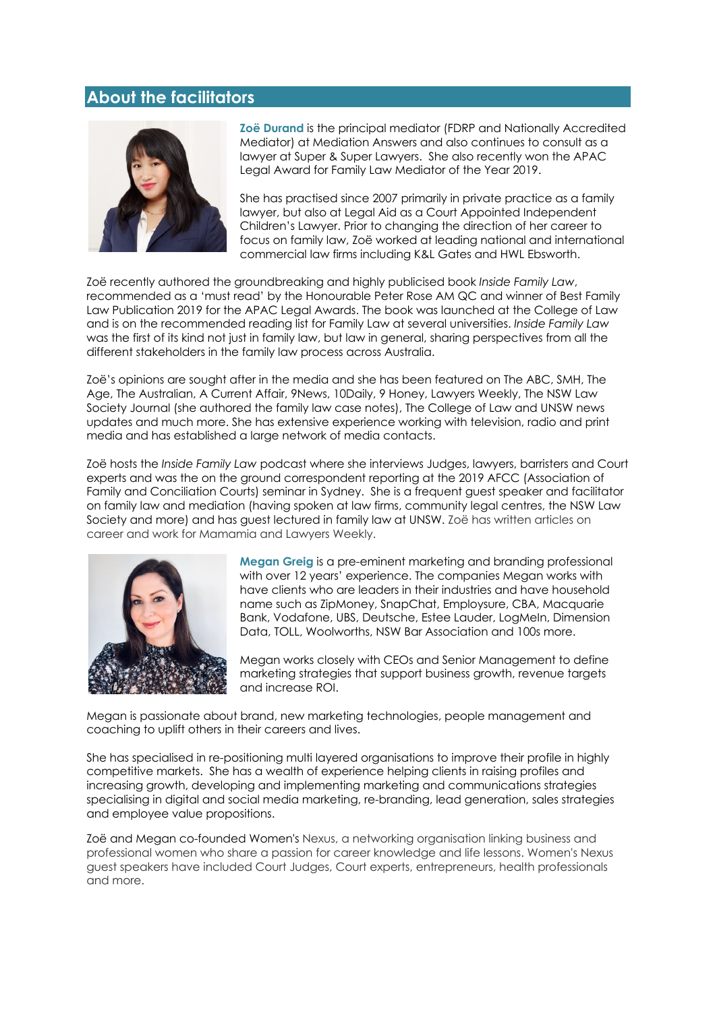# **About the facilitators**



**Zoë Durand** is the principal mediator (FDRP and Nationally Accredited Mediator) at Mediation Answers and also continues to consult as a lawyer at Super & Super Lawyers. She also recently won the APAC Legal Award for Family Law Mediator of the Year 2019.

She has practised since 2007 primarily in private practice as a family lawyer, but also at Legal Aid as a Court Appointed Independent Children's Lawyer. Prior to changing the direction of her career to focus on family law, Zoë worked at leading national and international commercial law firms including K&L Gates and HWL Ebsworth.

Zoë recently authored the groundbreaking and highly publicised book *Inside Family Law*, recommended as a 'must read' by the Honourable Peter Rose AM QC and winner of Best Family Law Publication 2019 for the APAC Legal Awards. The book was launched at the College of Law and is on the recommended reading list for Family Law at several universities. *Inside Family Law* was the first of its kind not just in family law, but law in general, sharing perspectives from all the different stakeholders in the family law process across Australia.

Zoë's opinions are sought after in the media and she has been featured on The ABC, SMH, The Age, The Australian, A Current Affair, 9News, 10Daily, 9 Honey, Lawyers Weekly, The NSW Law Society Journal (she authored the family law case notes), The College of Law and UNSW news updates and much more. She has extensive experience working with television, radio and print media and has established a large network of media contacts.

Zoë hosts the *Inside Family Law* podcast where she interviews Judges, lawyers, barristers and Court experts and was the on the ground correspondent reporting at the 2019 AFCC (Association of Family and Conciliation Courts) seminar in Sydney. She is a frequent guest speaker and facilitator on family law and mediation (having spoken at law firms, community legal centres, the NSW Law Society and more) and has guest lectured in family law at UNSW. Zoë has written articles on career and work for Mamamia and Lawyers Weekly.



**Megan Greig** is a pre-eminent marketing and branding professional with over 12 years' experience. The companies Megan works with have clients who are leaders in their industries and have household name such as ZipMoney, SnapChat, Employsure, CBA, Macquarie Bank, Vodafone, UBS, Deutsche, Estee Lauder, LogMeIn, Dimension Data, TOLL, Woolworths, NSW Bar Association and 100s more.

Megan works closely with CEOs and Senior Management to define marketing strategies that support business growth, revenue targets and increase ROI.

Megan is passionate about brand, new marketing technologies, people management and coaching to uplift others in their careers and lives.

She has specialised in re-positioning multi layered organisations to improve their profile in highly competitive markets. She has a wealth of experience helping clients in raising profiles and increasing growth, developing and implementing marketing and communications strategies specialising in digital and social media marketing, re-branding, lead generation, sales strategies and employee value propositions.

Zoë and Megan co-founded Women's Nexus, a networking organisation linking business and professional women who share a passion for career knowledge and life lessons. Women's Nexus guest speakers have included Court Judges, Court experts, entrepreneurs, health professionals and more.